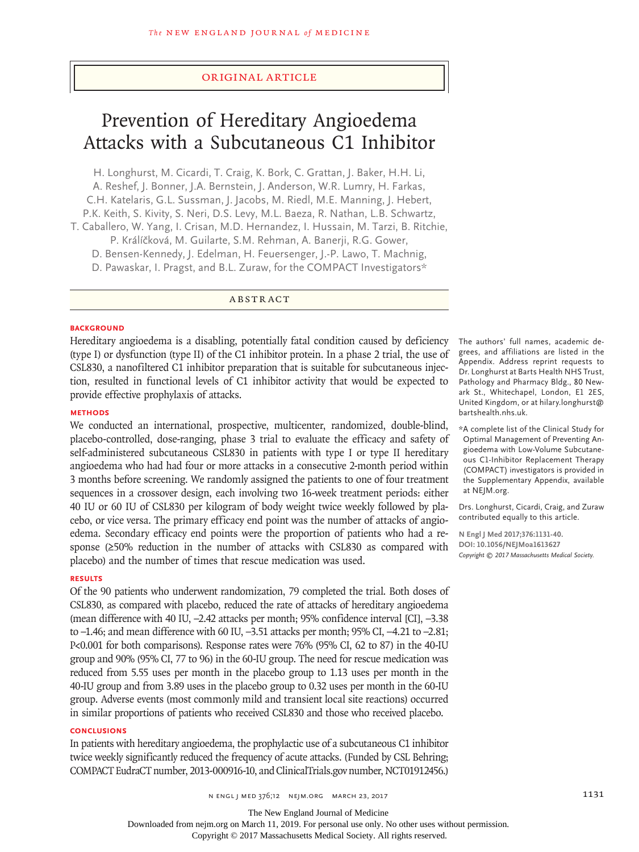## Original Article

# Prevention of Hereditary Angioedema Attacks with a Subcutaneous C1 Inhibitor

H. Longhurst, M. Cicardi, T. Craig, K. Bork, C. Grattan, J. Baker, H.H. Li, A. Reshef, J. Bonner, J.A. Bernstein, J. Anderson, W.R. Lumry, H. Farkas, C.H. Katelaris, G.L. Sussman, J. Jacobs, M. Riedl, M.E. Manning, J. Hebert, P.K. Keith, S. Kivity, S. Neri, D.S. Levy, M.L. Baeza, R. Nathan, L.B. Schwartz, T. Caballero, W. Yang, I. Crisan, M.D. Hernandez, I. Hussain, M. Tarzi, B. Ritchie, P. Králíčková, M. Guilarte, S.M. Rehman, A. Banerji, R.G. Gower, D. Bensen-Kennedy, J. Edelman, H. Feuersenger, J.-P. Lawo, T. Machnig,

D. Pawaskar, I. Pragst, and B.L. Zuraw, for the COMPACT Investigators\*

ABSTRACT

## **BACKGROUND**

Hereditary angioedema is a disabling, potentially fatal condition caused by deficiency (type I) or dysfunction (type II) of the C1 inhibitor protein. In a phase 2 trial, the use of CSL830, a nanofiltered C1 inhibitor preparation that is suitable for subcutaneous injection, resulted in functional levels of C1 inhibitor activity that would be expected to provide effective prophylaxis of attacks.

## **METHODS**

We conducted an international, prospective, multicenter, randomized, double-blind, placebo-controlled, dose-ranging, phase 3 trial to evaluate the efficacy and safety of self-administered subcutaneous CSL830 in patients with type I or type II hereditary angioedema who had had four or more attacks in a consecutive 2-month period within 3 months before screening. We randomly assigned the patients to one of four treatment sequences in a crossover design, each involving two 16-week treatment periods: either 40 IU or 60 IU of CSL830 per kilogram of body weight twice weekly followed by placebo, or vice versa. The primary efficacy end point was the number of attacks of angioedema. Secondary efficacy end points were the proportion of patients who had a response (≥50% reduction in the number of attacks with CSL830 as compared with placebo) and the number of times that rescue medication was used.

### **RESULTS**

Of the 90 patients who underwent randomization, 79 completed the trial. Both doses of CSL830, as compared with placebo, reduced the rate of attacks of hereditary angioedema (mean difference with 40 IU, –2.42 attacks per month; 95% confidence interval [CI], –3.38 to –1.46; and mean difference with 60 IU, –3.51 attacks per month; 95% CI, –4.21 to –2.81; P<0.001 for both comparisons). Response rates were 76% (95% CI, 62 to 87) in the 40-IU group and 90% (95% CI, 77 to 96) in the 60-IU group. The need for rescue medication was reduced from 5.55 uses per month in the placebo group to 1.13 uses per month in the 40-IU group and from 3.89 uses in the placebo group to 0.32 uses per month in the 60-IU group. Adverse events (most commonly mild and transient local site reactions) occurred in similar proportions of patients who received CSL830 and those who received placebo.

## **CONCLUSIONS**

In patients with hereditary angioedema, the prophylactic use of a subcutaneous C1 inhibitor twice weekly significantly reduced the frequency of acute attacks. (Funded by CSL Behring; COMPACT EudraCT number, 2013-000916-10, and ClinicalTrials.gov number, NCT01912456.)

The authors' full names, academic degrees, and affiliations are listed in the Appendix. Address reprint requests to Dr. Longhurst at Barts Health NHS Trust, Pathology and Pharmacy Bldg., 80 Newark St., Whitechapel, London, E1 2ES, United Kingdom, or at hilary.longhurst@ bartshealth.nhs.uk.

\*A complete list of the Clinical Study for Optimal Management of Preventing Angioedema with Low-Volume Subcutaneous C1-Inhibitor Replacement Therapy (COMPACT) investigators is provided in the Supplementary Appendix, available at NEJM.org.

Drs. Longhurst, Cicardi, Craig, and Zuraw contributed equally to this article.

**N Engl J Med 2017;376:1131-40. DOI: 10.1056/NEJMoa1613627** *Copyright © 2017 Massachusetts Medical Society.*

The New England Journal of Medicine

Downloaded from nejm.org on March 11, 2019. For personal use only. No other uses without permission.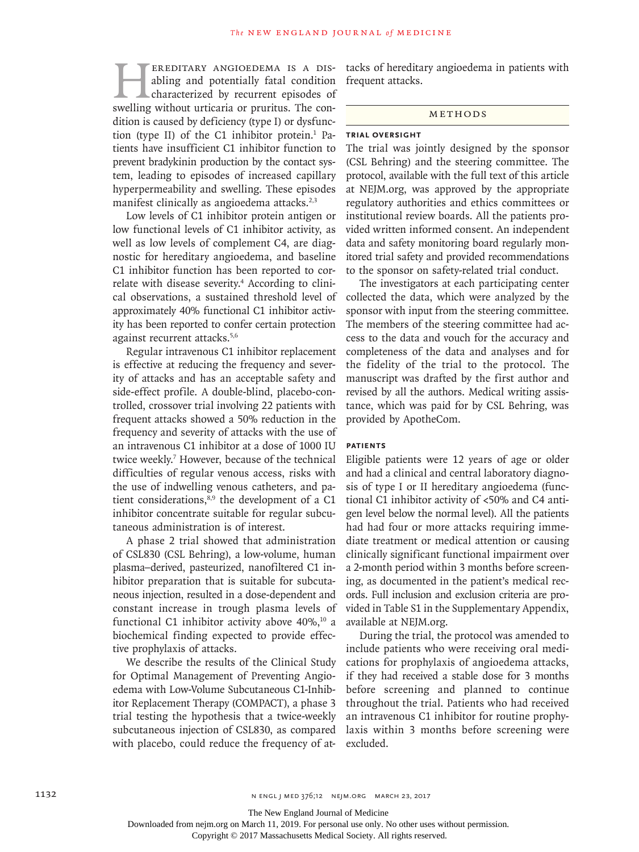EREDITARY ANGIOEDEMA IS A DIS-<br>abling and potentially fatal condition<br>characterized by recurrent episodes of<br>swelling without urticaria or pruritus. The conabling and potentially fatal condition characterized by recurrent episodes of swelling without urticaria or pruritus. The condition is caused by deficiency (type I) or dysfunction (type II) of the C1 inhibitor protein.<sup>1</sup> Patients have insufficient C1 inhibitor function to prevent bradykinin production by the contact system, leading to episodes of increased capillary hyperpermeability and swelling. These episodes manifest clinically as angioedema attacks.<sup>2,3</sup>

Low levels of C1 inhibitor protein antigen or low functional levels of C1 inhibitor activity, as well as low levels of complement C4, are diagnostic for hereditary angioedema, and baseline C1 inhibitor function has been reported to correlate with disease severity.<sup>4</sup> According to clinical observations, a sustained threshold level of approximately 40% functional C1 inhibitor activity has been reported to confer certain protection against recurrent attacks.5,6

Regular intravenous C1 inhibitor replacement is effective at reducing the frequency and severity of attacks and has an acceptable safety and side-effect profile. A double-blind, placebo-controlled, crossover trial involving 22 patients with frequent attacks showed a 50% reduction in the frequency and severity of attacks with the use of an intravenous C1 inhibitor at a dose of 1000 IU twice weekly.<sup>7</sup> However, because of the technical difficulties of regular venous access, risks with the use of indwelling venous catheters, and patient considerations,<sup>8,9</sup> the development of a C1 inhibitor concentrate suitable for regular subcutaneous administration is of interest.

A phase 2 trial showed that administration of CSL830 (CSL Behring), a low-volume, human plasma–derived, pasteurized, nanofiltered C1 inhibitor preparation that is suitable for subcutaneous injection, resulted in a dose-dependent and constant increase in trough plasma levels of functional C1 inhibitor activity above  $40\%$ ,<sup>10</sup> a biochemical finding expected to provide effective prophylaxis of attacks.

We describe the results of the Clinical Study for Optimal Management of Preventing Angioedema with Low-Volume Subcutaneous C1-Inhibitor Replacement Therapy (COMPACT), a phase 3 trial testing the hypothesis that a twice-weekly subcutaneous injection of CSL830, as compared with placebo, could reduce the frequency of attacks of hereditary angioedema in patients with frequent attacks.

#### Methods

## **Trial Oversight**

The trial was jointly designed by the sponsor (CSL Behring) and the steering committee. The protocol, available with the full text of this article at NEJM.org, was approved by the appropriate regulatory authorities and ethics committees or institutional review boards. All the patients provided written informed consent. An independent data and safety monitoring board regularly monitored trial safety and provided recommendations to the sponsor on safety-related trial conduct.

The investigators at each participating center collected the data, which were analyzed by the sponsor with input from the steering committee. The members of the steering committee had access to the data and vouch for the accuracy and completeness of the data and analyses and for the fidelity of the trial to the protocol. The manuscript was drafted by the first author and revised by all the authors. Medical writing assistance, which was paid for by CSL Behring, was provided by ApotheCom.

## **Patients**

Eligible patients were 12 years of age or older and had a clinical and central laboratory diagnosis of type I or II hereditary angioedema (functional C1 inhibitor activity of <50% and C4 antigen level below the normal level). All the patients had had four or more attacks requiring immediate treatment or medical attention or causing clinically significant functional impairment over a 2-month period within 3 months before screening, as documented in the patient's medical records. Full inclusion and exclusion criteria are provided in Table S1 in the Supplementary Appendix, available at NEJM.org.

During the trial, the protocol was amended to include patients who were receiving oral medications for prophylaxis of angioedema attacks, if they had received a stable dose for 3 months before screening and planned to continue throughout the trial. Patients who had received an intravenous C1 inhibitor for routine prophylaxis within 3 months before screening were excluded.

The New England Journal of Medicine

Downloaded from nejm.org on March 11, 2019. For personal use only. No other uses without permission.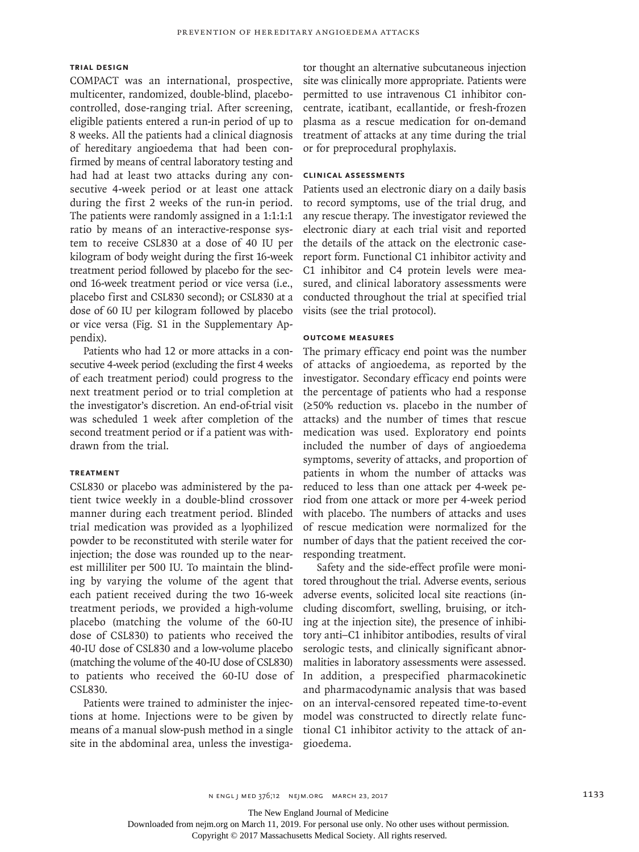## **Trial Design**

COMPACT was an international, prospective, multicenter, randomized, double-blind, placebocontrolled, dose-ranging trial. After screening, eligible patients entered a run-in period of up to 8 weeks. All the patients had a clinical diagnosis of hereditary angioedema that had been confirmed by means of central laboratory testing and had had at least two attacks during any consecutive 4-week period or at least one attack during the first 2 weeks of the run-in period. The patients were randomly assigned in a 1:1:1:1 ratio by means of an interactive-response system to receive CSL830 at a dose of 40 IU per kilogram of body weight during the first 16-week treatment period followed by placebo for the second 16-week treatment period or vice versa (i.e., placebo first and CSL830 second); or CSL830 at a dose of 60 IU per kilogram followed by placebo or vice versa (Fig. S1 in the Supplementary Appendix).

Patients who had 12 or more attacks in a consecutive 4-week period (excluding the first 4 weeks of each treatment period) could progress to the next treatment period or to trial completion at the investigator's discretion. An end-of-trial visit was scheduled 1 week after completion of the second treatment period or if a patient was withdrawn from the trial.

## **Treatment**

CSL830 or placebo was administered by the patient twice weekly in a double-blind crossover manner during each treatment period. Blinded trial medication was provided as a lyophilized powder to be reconstituted with sterile water for injection; the dose was rounded up to the nearest milliliter per 500 IU. To maintain the blinding by varying the volume of the agent that each patient received during the two 16-week treatment periods, we provided a high-volume placebo (matching the volume of the 60-IU dose of CSL830) to patients who received the 40-IU dose of CSL830 and a low-volume placebo (matching the volume of the 40-IU dose of CSL830) to patients who received the 60-IU dose of CSL830.

Patients were trained to administer the injections at home. Injections were to be given by means of a manual slow-push method in a single site in the abdominal area, unless the investiga-

tor thought an alternative subcutaneous injection site was clinically more appropriate. Patients were permitted to use intravenous C1 inhibitor concentrate, icatibant, ecallantide, or fresh-frozen plasma as a rescue medication for on-demand treatment of attacks at any time during the trial or for preprocedural prophylaxis.

## **Clinical Assessments**

Patients used an electronic diary on a daily basis to record symptoms, use of the trial drug, and any rescue therapy. The investigator reviewed the electronic diary at each trial visit and reported the details of the attack on the electronic casereport form. Functional C1 inhibitor activity and C1 inhibitor and C4 protein levels were measured, and clinical laboratory assessments were conducted throughout the trial at specified trial visits (see the trial protocol).

## **Outcome Measures**

The primary efficacy end point was the number of attacks of angioedema, as reported by the investigator. Secondary efficacy end points were the percentage of patients who had a response (≥50% reduction vs. placebo in the number of attacks) and the number of times that rescue medication was used. Exploratory end points included the number of days of angioedema symptoms, severity of attacks, and proportion of patients in whom the number of attacks was reduced to less than one attack per 4-week period from one attack or more per 4-week period with placebo. The numbers of attacks and uses of rescue medication were normalized for the number of days that the patient received the corresponding treatment.

Safety and the side-effect profile were monitored throughout the trial. Adverse events, serious adverse events, solicited local site reactions (including discomfort, swelling, bruising, or itching at the injection site), the presence of inhibitory anti–C1 inhibitor antibodies, results of viral serologic tests, and clinically significant abnormalities in laboratory assessments were assessed. In addition, a prespecified pharmacokinetic and pharmacodynamic analysis that was based on an interval-censored repeated time-to-event model was constructed to directly relate functional C1 inhibitor activity to the attack of angioedema.

The New England Journal of Medicine

Downloaded from nejm.org on March 11, 2019. For personal use only. No other uses without permission.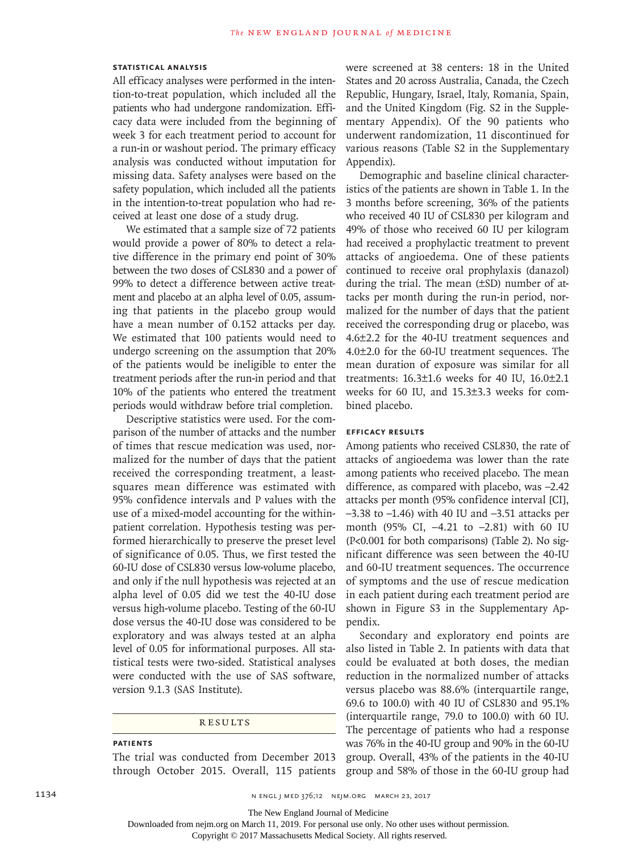## **Statistical Analysis**

All efficacy analyses were performed in the intention-to-treat population, which included all the patients who had undergone randomization. Efficacy data were included from the beginning of week 3 for each treatment period to account for a run-in or washout period. The primary efficacy analysis was conducted without imputation for missing data. Safety analyses were based on the safety population, which included all the patients in the intention-to-treat population who had received at least one dose of a study drug.

We estimated that a sample size of 72 patients would provide a power of 80% to detect a relative difference in the primary end point of 30% between the two doses of CSL830 and a power of 99% to detect a difference between active treatment and placebo at an alpha level of 0.05, assuming that patients in the placebo group would have a mean number of 0.152 attacks per day. We estimated that 100 patients would need to undergo screening on the assumption that 20% of the patients would be ineligible to enter the treatment periods after the run-in period and that 10% of the patients who entered the treatment periods would withdraw before trial completion.

Descriptive statistics were used. For the comparison of the number of attacks and the number of times that rescue medication was used, normalized for the number of days that the patient received the corresponding treatment, a leastsquares mean difference was estimated with 95% confidence intervals and P values with the use of a mixed-model accounting for the withinpatient correlation. Hypothesis testing was performed hierarchically to preserve the preset level of significance of 0.05. Thus, we first tested the 60-IU dose of CSL830 versus low-volume placebo, and only if the null hypothesis was rejected at an alpha level of 0.05 did we test the 40-IU dose versus high-volume placebo. Testing of the 60-IU dose versus the 40-IU dose was considered to be exploratory and was always tested at an alpha level of 0.05 for informational purposes. All statistical tests were two-sided. Statistical analyses were conducted with the use of SAS software, version 9.1.3 (SAS Institute).

## **RESULTS**

# **Patients**

The trial was conducted from December 2013 through October 2015. Overall, 115 patients were screened at 38 centers: 18 in the United States and 20 across Australia, Canada, the Czech Republic, Hungary, Israel, Italy, Romania, Spain, and the United Kingdom (Fig. S2 in the Supplementary Appendix). Of the 90 patients who underwent randomization, 11 discontinued for various reasons (Table S2 in the Supplementary Appendix).

Demographic and baseline clinical characteristics of the patients are shown in Table 1. In the 3 months before screening, 36% of the patients who received 40 IU of CSL830 per kilogram and 49% of those who received 60 IU per kilogram had received a prophylactic treatment to prevent attacks of angioedema. One of these patients continued to receive oral prophylaxis (danazol) during the trial. The mean (±SD) number of attacks per month during the run-in period, normalized for the number of days that the patient received the corresponding drug or placebo, was 4.6±2.2 for the 40-IU treatment sequences and 4.0±2.0 for the 60-IU treatment sequences. The mean duration of exposure was similar for all treatments: 16.3±1.6 weeks for 40 IU, 16.0±2.1 weeks for 60 IU, and 15.3±3.3 weeks for combined placebo.

## **Efficacy Results**

Among patients who received CSL830, the rate of attacks of angioedema was lower than the rate among patients who received placebo. The mean difference, as compared with placebo, was –2.42 attacks per month (95% confidence interval [CI],  $-3.38$  to  $-1.46$ ) with 40 IU and  $-3.51$  attacks per month (95% CI, –4.21 to –2.81) with 60 IU (P<0.001 for both comparisons) (Table 2). No significant difference was seen between the 40-IU and 60-IU treatment sequences. The occurrence of symptoms and the use of rescue medication in each patient during each treatment period are shown in Figure S3 in the Supplementary Appendix.

Secondary and exploratory end points are also listed in Table 2. In patients with data that could be evaluated at both doses, the median reduction in the normalized number of attacks versus placebo was 88.6% (interquartile range, 69.6 to 100.0) with 40 IU of CSL830 and 95.1% (interquartile range, 79.0 to 100.0) with 60 IU. The percentage of patients who had a response was 76% in the 40-IU group and 90% in the 60-IU group. Overall, 43% of the patients in the 40-IU group and 58% of those in the 60-IU group had

The New England Journal of Medicine

Downloaded from nejm.org on March 11, 2019. For personal use only. No other uses without permission.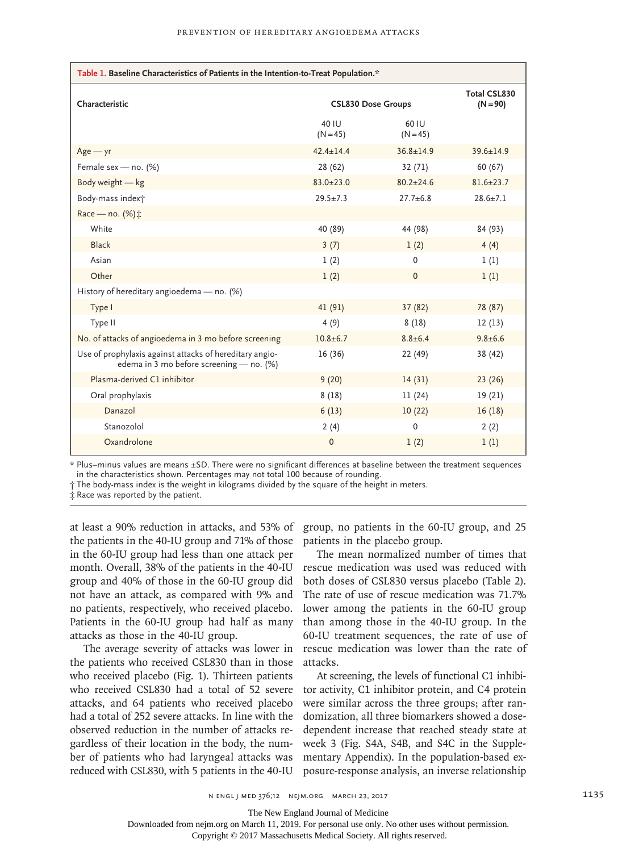| Table 1. Baseline Characteristics of Patients in the Intention-to-Treat Population.*                |                           |                     |                                   |  |  |
|-----------------------------------------------------------------------------------------------------|---------------------------|---------------------|-----------------------------------|--|--|
| Characteristic                                                                                      | <b>CSL830 Dose Groups</b> |                     | <b>Total CSL830</b><br>$(N = 90)$ |  |  |
|                                                                                                     | 40 IU<br>$(N = 45)$       | 60 IU<br>$(N = 45)$ |                                   |  |  |
| $Age - yr$                                                                                          | $42.4 \pm 14.4$           | $36.8 \pm 14.9$     | $39.6 + 14.9$                     |  |  |
| Female sex - no. (%)                                                                                | 28 (62)                   | 32 (71)             | 60(67)                            |  |  |
| Body weight - kg                                                                                    | $83.0 + 23.0$             | $80.2 + 24.6$       | $81.6 \pm 23.7$                   |  |  |
| Body-mass index <sup>+</sup>                                                                        | $29.5 + 7.3$              | $27.7 + 6.8$        | $28.6 + 7.1$                      |  |  |
| Race - no. (%):                                                                                     |                           |                     |                                   |  |  |
| White                                                                                               | 40 (89)                   | 44 (98)             | 84 (93)                           |  |  |
| <b>Black</b>                                                                                        | 3(7)                      | 1(2)                | 4(4)                              |  |  |
| Asian                                                                                               | 1(2)                      | $\Omega$            | 1(1)                              |  |  |
| Other                                                                                               | 1(2)                      | $\Omega$            | 1(1)                              |  |  |
| History of hereditary angioedema - no. (%)                                                          |                           |                     |                                   |  |  |
| Type I                                                                                              | 41 (91)                   | 37(82)              | 78 (87)                           |  |  |
| Type II                                                                                             | 4(9)                      | 8(18)               | 12(13)                            |  |  |
| No. of attacks of angioedema in 3 mo before screening                                               | $10.8 + 6.7$              | $8.8 + 6.4$         | $9.8 + 6.6$                       |  |  |
| Use of prophylaxis against attacks of hereditary angio-<br>edema in 3 mo before screening - no. (%) | 16(36)                    | 22 (49)             | 38 (42)                           |  |  |
| Plasma-derived C1 inhibitor                                                                         | 9(20)                     | 14(31)              | 23(26)                            |  |  |
| Oral prophylaxis                                                                                    | 8(18)                     | 11(24)              | 19 (21)                           |  |  |
| Danazol                                                                                             | 6(13)                     | 10(22)              | 16(18)                            |  |  |
| Stanozolol                                                                                          | 2(4)                      | $\Omega$            | 2(2)                              |  |  |
| Oxandrolone                                                                                         | $\mathbf{0}$              | 1(2)                | 1(1)                              |  |  |

\* Plus–minus values are means ±SD. There were no significant differences at baseline between the treatment sequences in the characteristics shown. Percentages may not total 100 because of rounding.

† The body-mass index is the weight in kilograms divided by the square of the height in meters.

‡ Race was reported by the patient.

the patients in the 40-IU group and 71% of those in the 60-IU group had less than one attack per month. Overall, 38% of the patients in the 40-IU group and 40% of those in the 60-IU group did not have an attack, as compared with 9% and no patients, respectively, who received placebo. Patients in the 60-IU group had half as many attacks as those in the 40-IU group.

the patients who received CSL830 than in those who received placebo (Fig. 1). Thirteen patients who received CSL830 had a total of 52 severe attacks, and 64 patients who received placebo had a total of 252 severe attacks. In line with the observed reduction in the number of attacks regardless of their location in the body, the number of patients who had laryngeal attacks was reduced with CSL830, with 5 patients in the 40-IU

at least a 90% reduction in attacks, and 53% of group, no patients in the 60-IU group, and 25 patients in the placebo group.

The average severity of attacks was lower in rescue medication was lower than the rate of The mean normalized number of times that rescue medication was used was reduced with both doses of CSL830 versus placebo (Table 2). The rate of use of rescue medication was 71.7% lower among the patients in the 60-IU group than among those in the 40-IU group. In the 60-IU treatment sequences, the rate of use of attacks.

> At screening, the levels of functional C1 inhibitor activity, C1 inhibitor protein, and C4 protein were similar across the three groups; after randomization, all three biomarkers showed a dosedependent increase that reached steady state at week 3 (Fig. S4A, S4B, and S4C in the Supplementary Appendix). In the population-based exposure-response analysis, an inverse relationship

The New England Journal of Medicine

Downloaded from nejm.org on March 11, 2019. For personal use only. No other uses without permission.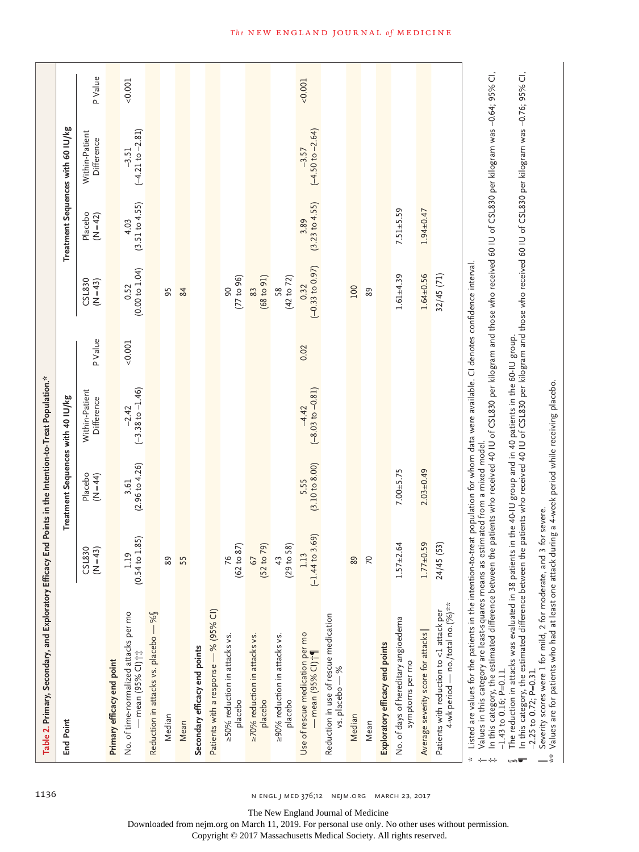| Table 2. Primary, Secondary, and Exploratory Efficacy End Points in the Intention-to-Treat Population."                                                                                                                                                                                                                                                                                                                                                                                                                                                                |                                |                                   |                                        |         |                             |                            |                                   |         |
|------------------------------------------------------------------------------------------------------------------------------------------------------------------------------------------------------------------------------------------------------------------------------------------------------------------------------------------------------------------------------------------------------------------------------------------------------------------------------------------------------------------------------------------------------------------------|--------------------------------|-----------------------------------|----------------------------------------|---------|-----------------------------|----------------------------|-----------------------------------|---------|
| <b>End Point</b>                                                                                                                                                                                                                                                                                                                                                                                                                                                                                                                                                       |                                | Treatment Sequences with 40 IU/kg |                                        |         |                             |                            | Treatment Sequences with 60 IU/kg |         |
|                                                                                                                                                                                                                                                                                                                                                                                                                                                                                                                                                                        | SL830<br>$(N=43)$              | Placebo<br>$(N=44)$               | Within-Patient<br>Difference           | P Value | CSL830<br>$(N=43)$          | Placebo<br>$(N=42)$        | Within-Patient<br>Difference      | P Value |
| Primary efficacy end point                                                                                                                                                                                                                                                                                                                                                                                                                                                                                                                                             |                                |                                   |                                        |         |                             |                            |                                   |         |
| No. of time-normalized attacks per mo<br>- mean (95% CI) $\uparrow\updownarrow$                                                                                                                                                                                                                                                                                                                                                                                                                                                                                        | (0.54 to 1.85)<br>1.19         | (2.96 to 4.26)<br>3.61            | $(-3.38 \text{ to } -1.46)$<br>$-2.42$ | < 0.001 | (0.00 to 1.04)<br>0.52      | (3.51 to 4.55)<br>4.03     | $(-4.21$ to $-2.81)$<br>$-3.51$   | 0.001   |
| Reduction in attacks vs. placebo - %                                                                                                                                                                                                                                                                                                                                                                                                                                                                                                                                   |                                |                                   |                                        |         |                             |                            |                                   |         |
| Median                                                                                                                                                                                                                                                                                                                                                                                                                                                                                                                                                                 | 89                             |                                   |                                        |         | 95                          |                            |                                   |         |
| Mean                                                                                                                                                                                                                                                                                                                                                                                                                                                                                                                                                                   | 55                             |                                   |                                        |         | 84                          |                            |                                   |         |
| Secondary efficacy end points                                                                                                                                                                                                                                                                                                                                                                                                                                                                                                                                          |                                |                                   |                                        |         |                             |                            |                                   |         |
| Patients with a response - % (95% CI)                                                                                                                                                                                                                                                                                                                                                                                                                                                                                                                                  |                                |                                   |                                        |         |                             |                            |                                   |         |
| ≥50% reduction in attacks vs.<br>placebo                                                                                                                                                                                                                                                                                                                                                                                                                                                                                                                               | (62 to 87)<br>76               |                                   |                                        |         | (77 to 96)<br>90            |                            |                                   |         |
| 270% reduction in attacks vs.<br>placebo                                                                                                                                                                                                                                                                                                                                                                                                                                                                                                                               | (52 to 79)<br>67               |                                   |                                        |         | (68 to 91)<br>83            |                            |                                   |         |
| ≥90% reduction in attacks vs.<br>placebo                                                                                                                                                                                                                                                                                                                                                                                                                                                                                                                               | (29 to 58)<br>43               |                                   |                                        |         | (42 to 72)<br>58            |                            |                                   |         |
| Use of rescue medication per mo<br>— mean (95% CI) ; ¶                                                                                                                                                                                                                                                                                                                                                                                                                                                                                                                 | 4 to 3.69)<br>1.13<br>$(-1.4)$ | (3.10 to 8.00)<br>5.55            | $(-8.03 \text{ to } -0.81)$<br>$-4.42$ | 0.02    | $(-0.33$ to $0.97)$<br>0.32 | $(3.23$ to $4.55)$<br>3.89 | $(-4.50 to -2.64)$<br>$-3.57$     | 0.001   |
| Reduction in use of rescue medication<br>vs. placebo - %                                                                                                                                                                                                                                                                                                                                                                                                                                                                                                               |                                |                                   |                                        |         |                             |                            |                                   |         |
| Median                                                                                                                                                                                                                                                                                                                                                                                                                                                                                                                                                                 | 89                             |                                   |                                        |         | 100                         |                            |                                   |         |
| Mean                                                                                                                                                                                                                                                                                                                                                                                                                                                                                                                                                                   | $\approx$                      |                                   |                                        |         | 89                          |                            |                                   |         |
| Exploratory efficacy end points                                                                                                                                                                                                                                                                                                                                                                                                                                                                                                                                        |                                |                                   |                                        |         |                             |                            |                                   |         |
| No. of days of hereditary angioedema<br>symptoms per mo                                                                                                                                                                                                                                                                                                                                                                                                                                                                                                                | $1.57 + 2.64$                  | $7.00 + 5.75$                     |                                        |         | $1.61 + 4.39$               | $7.51 + 5.59$              |                                   |         |
| Average severity score for attacks                                                                                                                                                                                                                                                                                                                                                                                                                                                                                                                                     | $1.77 + 0.59$                  | $2.03 + 0.49$                     |                                        |         | $1.64 \pm 0.56$             | $1.94 \pm 0.47$            |                                   |         |
| 4-wk period - no./total no. (%)**<br>Patients with reduction to <1 attack per                                                                                                                                                                                                                                                                                                                                                                                                                                                                                          | 24/45 (53)                     |                                   |                                        |         | 32/45(71)                   |                            |                                   |         |
| In this category, the estimated difference between the patients who received 40 IU of CSL830 per kilogram and those who received 60 IU of CSL830 per kilogram was -0.64; 95% CI,<br>Listed are values for the patients in the intention-to-treat population for whom data were available. CI denotes confidence interval.<br>The reduction in attacks was evaluated in 38 patients in the 40-III group and in 40 patients in the 60-III group<br>Values in this category are least-squares means as estimated from a mixed model<br>$-1.43$ to 0.16; P=0.11.<br>∗<br>÷ |                                |                                   |                                        |         |                             |                            |                                   |         |

The reduction in attacks was evaluated in 38 patients in the 40-IU group and in 40 patients in the 60-IU group.

§¶

The reduction in attacks was evaluated in 38 patients in the 40-IU group and in 40 patients in the bo-IU group.<br>In this category, the estimated difference between the patients who received 40 IU of CSL830 per kiloger and t  $\P$  In this category, the estimated difference between the patients who received 40 IU of CSL830 per kilogram and those who received 60 IU of CSL830 per kilogram was –0.76; 95% CI,  $-2.25$  to 0.72; P=0.31.

‖Severity scores were 1 for mild, 2 for moderate, and 3 for severe.

\*\* Values are for patients who had at least one attack during a 4-week period while receiving placebo.  $*$ 

1136 **n** ENGL J MED 376;12 NEJM.ORG MARCH 23, 2017

The New England Journal of Medicine

Downloaded from nejm.org on March 11, 2019. For personal use only. No other uses without permission.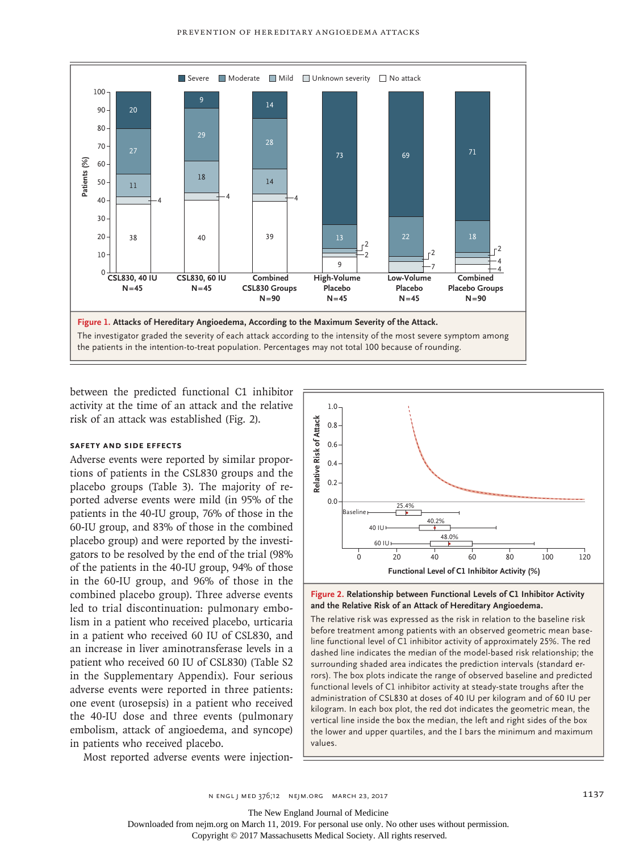

between the predicted functional C1 inhibitor activity at the time of an attack and the relative risk of an attack was established (Fig. 2).

## **Safety and Side Effects**

Adverse events were reported by similar proportions of patients in the CSL830 groups and the placebo groups (Table 3). The majority of reported adverse events were mild (in 95% of the patients in the 40-IU group, 76% of those in the 60-IU group, and 83% of those in the combined placebo group) and were reported by the investigators to be resolved by the end of the trial (98% of the patients in the 40-IU group, 94% of those in the 60-IU group, and 96% of those in the combined placebo group). Three adverse events led to trial discontinuation: pulmonary embolism in a patient who received placebo, urticaria in a patient who received 60 IU of CSL830, and an increase in liver aminotransferase levels in a patient who received 60 IU of CSL830) (Table S2 in the Supplementary Appendix). Four serious adverse events were reported in three patients: one event (urosepsis) in a patient who received the 40-IU dose and three events (pulmonary embolism, attack of angioedema, and syncope) in patients who received placebo.

Most reported adverse events were injection-





The relative risk was expressed as the risk in relation to the baseline risk before treatment among patients with an observed geometric mean baseline functional level of C1 inhibitor activity of approximately 25%. The red dashed line indicates the median of the model-based risk relationship; the surrounding shaded area indicates the prediction intervals (standard errors). The box plots indicate the range of observed baseline and predicted functional levels of C1 inhibitor activity at steady-state troughs after the administration of CSL830 at doses of 40 IU per kilogram and of 60 IU per kilogram. In each box plot, the red dot indicates the geometric mean, the vertical line inside the box the median, the left and right sides of the box the lower and upper quartiles, and the I bars the minimum and maximum values.

n engl j med 376;12 nejm.org March 23, 2017 1137

The New England Journal of Medicine

Downloaded from nejm.org on March 11, 2019. For personal use only. No other uses without permission.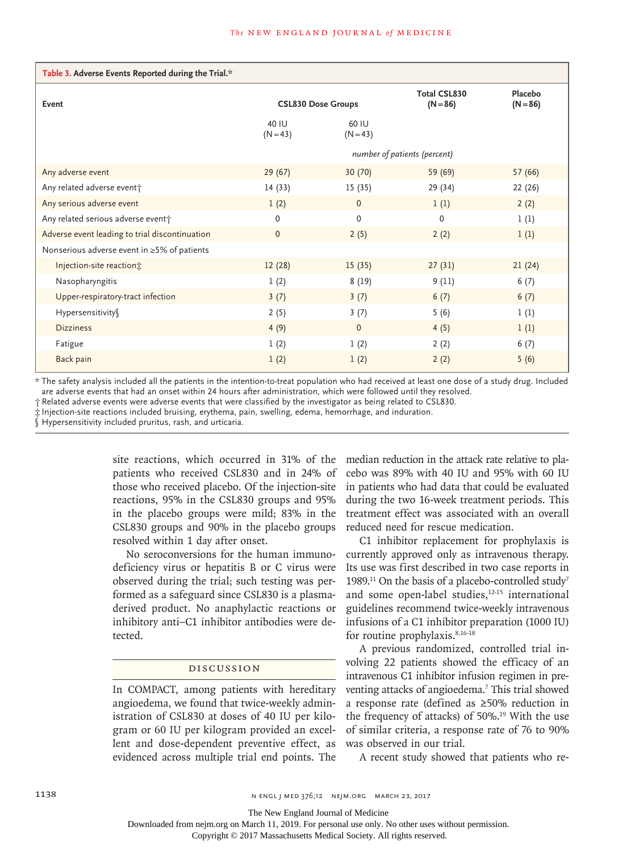| Table 3. Adverse Events Reported during the Trial.* |                              |                     |                                   |                       |  |
|-----------------------------------------------------|------------------------------|---------------------|-----------------------------------|-----------------------|--|
| Event                                               | <b>CSL830 Dose Groups</b>    |                     | <b>Total CSL830</b><br>$(N = 86)$ | Placebo<br>$(N = 86)$ |  |
|                                                     | 40 IU<br>$(N = 43)$          | 60 IU<br>$(N = 43)$ |                                   |                       |  |
|                                                     | number of patients (percent) |                     |                                   |                       |  |
| Any adverse event                                   | 29(67)                       | 30(70)              | 59 (69)                           | 57(66)                |  |
| Any related adverse event;                          | 14 (33)                      | 15(35)              | 29 (34)                           | 22 (26)               |  |
| Any serious adverse event                           | 1(2)                         | $\mathbf 0$         | 1(1)                              | 2(2)                  |  |
| Any related serious adverse event;                  | $\Omega$                     | $\mathbf 0$         | $\Omega$                          | 1(1)                  |  |
| Adverse event leading to trial discontinuation      | $\mathbf{0}$                 | 2(5)                | 2(2)                              | 1(1)                  |  |
| Nonserious adverse event in ≥5% of patients         |                              |                     |                                   |                       |  |
| Injection-site reaction;                            | 12(28)                       | 15(35)              | 27(31)                            | 21(24)                |  |
| Nasopharyngitis                                     | 1(2)                         | 8(19)               | 9(11)                             | 6(7)                  |  |
| Upper-respiratory-tract infection                   | 3(7)                         | 3(7)                | 6(7)                              | 6(7)                  |  |
| Hypersensitivity                                    | 2(5)                         | 3(7)                | 5(6)                              | 1(1)                  |  |
| <b>Dizziness</b>                                    | 4(9)                         | $\mathbf{0}$        | 4(5)                              | 1(1)                  |  |
| Fatigue                                             | 1(2)                         | 1(2)                | 2(2)                              | 6(7)                  |  |
| Back pain                                           | 1(2)                         | 1(2)                | 2(2)                              | 5(6)                  |  |

\* The safety analysis included all the patients in the intention-to-treat population who had received at least one dose of a study drug. Included are adverse events that had an onset within 24 hours after administration, which were followed until they resolved.

† Related adverse events were adverse events that were classified by the investigator as being related to CSL830.

‡ Injection-site reactions included bruising, erythema, pain, swelling, edema, hemorrhage, and induration.

Hypersensitivity included pruritus, rash, and urticaria.

site reactions, which occurred in 31% of the patients who received CSL830 and in 24% of those who received placebo. Of the injection-site reactions, 95% in the CSL830 groups and 95% in the placebo groups were mild; 83% in the CSL830 groups and 90% in the placebo groups resolved within 1 day after onset.

No seroconversions for the human immunodeficiency virus or hepatitis B or C virus were observed during the trial; such testing was performed as a safeguard since CSL830 is a plasmaderived product. No anaphylactic reactions or inhibitory anti–C1 inhibitor antibodies were detected.

#### Discussion

In COMPACT, among patients with hereditary angioedema, we found that twice-weekly administration of CSL830 at doses of 40 IU per kilogram or 60 IU per kilogram provided an excellent and dose-dependent preventive effect, as evidenced across multiple trial end points. The

median reduction in the attack rate relative to placebo was 89% with 40 IU and 95% with 60 IU in patients who had data that could be evaluated during the two 16-week treatment periods. This treatment effect was associated with an overall reduced need for rescue medication.

C1 inhibitor replacement for prophylaxis is currently approved only as intravenous therapy. Its use was first described in two case reports in 1989.<sup>11</sup> On the basis of a placebo-controlled study<sup>7</sup> and some open-label studies,<sup>12-15</sup> international guidelines recommend twice-weekly intravenous infusions of a C1 inhibitor preparation (1000 IU) for routine prophylaxis.<sup>8,16-18</sup>

A previous randomized, controlled trial involving 22 patients showed the efficacy of an intravenous C1 inhibitor infusion regimen in preventing attacks of angioedema.7 This trial showed a response rate (defined as ≥50% reduction in the frequency of attacks) of 50%.<sup>19</sup> With the use of similar criteria, a response rate of 76 to 90% was observed in our trial.

A recent study showed that patients who re-

The New England Journal of Medicine

Downloaded from nejm.org on March 11, 2019. For personal use only. No other uses without permission.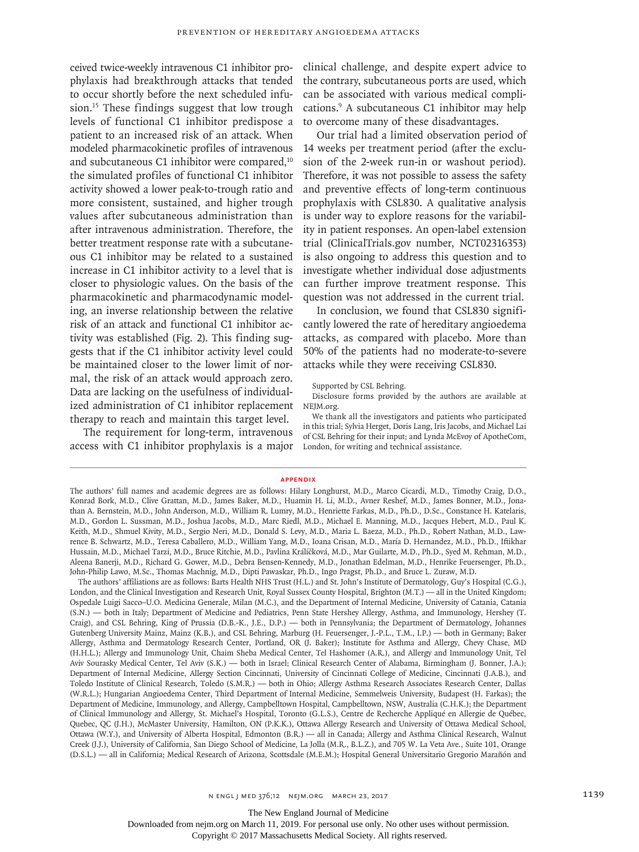phylaxis had breakthrough attacks that tended to occur shortly before the next scheduled infusion.15 These findings suggest that low trough levels of functional C1 inhibitor predispose a patient to an increased risk of an attack. When modeled pharmacokinetic profiles of intravenous and subcutaneous C1 inhibitor were compared,<sup>10</sup> the simulated profiles of functional C1 inhibitor activity showed a lower peak-to-trough ratio and more consistent, sustained, and higher trough values after subcutaneous administration than after intravenous administration. Therefore, the better treatment response rate with a subcutaneous C1 inhibitor may be related to a sustained increase in C1 inhibitor activity to a level that is closer to physiologic values. On the basis of the pharmacokinetic and pharmacodynamic modeling, an inverse relationship between the relative risk of an attack and functional C1 inhibitor activity was established (Fig. 2). This finding suggests that if the C1 inhibitor activity level could be maintained closer to the lower limit of normal, the risk of an attack would approach zero. Data are lacking on the usefulness of individualized administration of C1 inhibitor replacement therapy to reach and maintain this target level.

The requirement for long-term, intravenous access with C1 inhibitor prophylaxis is a major

ceived twice-weekly intravenous C1 inhibitor pro-clinical challenge, and despite expert advice to the contrary, subcutaneous ports are used, which can be associated with various medical complications.9 A subcutaneous C1 inhibitor may help to overcome many of these disadvantages.

> Our trial had a limited observation period of 14 weeks per treatment period (after the exclusion of the 2-week run-in or washout period). Therefore, it was not possible to assess the safety and preventive effects of long-term continuous prophylaxis with CSL830. A qualitative analysis is under way to explore reasons for the variability in patient responses. An open-label extension trial (ClinicalTrials.gov number, NCT02316353) is also ongoing to address this question and to investigate whether individual dose adjustments can further improve treatment response. This question was not addressed in the current trial.

> In conclusion, we found that CSL830 significantly lowered the rate of hereditary angioedema attacks, as compared with placebo. More than 50% of the patients had no moderate-to-severe attacks while they were receiving CSL830.

Supported by CSL Behring.

Disclosure forms provided by the authors are available at NEJM.org.

We thank all the investigators and patients who participated in this trial; Sylvia Herget, Doris Lang, Iris Jacobs, and Michael Lai of CSL Behring for their input; and Lynda McEvoy of ApotheCom, London, for writing and technical assistance.

#### **Appendix**

The authors' affiliations are as follows: Barts Health NHS Trust (H.L.) and St. John's Institute of Dermatology, Guy's Hospital (C.G.), London, and the Clinical Investigation and Research Unit, Royal Sussex County Hospital, Brighton (M.T.) — all in the United Kingdom; Ospedale Luigi Sacco–U.O. Medicina Generale, Milan (M.C.), and the Department of Internal Medicine, University of Catania, Catania (S.N.) — both in Italy; Department of Medicine and Pediatrics, Penn State Hershey Allergy, Asthma, and Immunology, Hershey (T. Craig), and CSL Behring, King of Prussia (D.B.-K., J.E., D.P.) — both in Pennsylvania; the Department of Dermatology, Johannes Gutenberg University Mainz, Mainz (K.B.), and CSL Behring, Marburg (H. Feuersenger, J.-P.L., T.M., I.P.) — both in Germany; Baker Allergy, Asthma and Dermatology Research Center, Portland, OR (J. Baker); Institute for Asthma and Allergy, Chevy Chase, MD (H.H.L.); Allergy and Immunology Unit, Chaim Sheba Medical Center, Tel Hashomer (A.R.), and Allergy and Immunology Unit, Tel Aviv Sourasky Medical Center, Tel Aviv (S.K.) — both in Israel; Clinical Research Center of Alabama, Birmingham (J. Bonner, J.A.); Department of Internal Medicine, Allergy Section Cincinnati, University of Cincinnati College of Medicine, Cincinnati (J.A.B.), and Toledo Institute of Clinical Research, Toledo (S.M.R.) — both in Ohio; Allergy Asthma Research Associates Research Center, Dallas (W.R.L.); Hungarian Angioedema Center, Third Department of Internal Medicine, Semmelweis University, Budapest (H. Farkas); the Department of Medicine, Immunology, and Allergy, Campbelltown Hospital, Campbelltown, NSW, Australia (C.H.K.); the Department of Clinical Immunology and Allergy, St. Michael's Hospital, Toronto (G.L.S.), Centre de Recherche Appliqué en Allergie de Québec, Quebec, QC (J.H.), McMaster University, Hamilton, ON (P.K.K.), Ottawa Allergy Research and University of Ottawa Medical School, Ottawa (W.Y.), and University of Alberta Hospital, Edmonton (B.R.) — all in Canada; Allergy and Asthma Clinical Research, Walnut Creek (J.J.), University of California, San Diego School of Medicine, La Jolla (M.R., B.L.Z.), and 705 W. La Veta Ave., Suite 101, Orange (D.S.L.) — all in California; Medical Research of Arizona, Scottsdale (M.E.M.); Hospital General Universitario Gregorio Marañón and

The New England Journal of Medicine

Downloaded from nejm.org on March 11, 2019. For personal use only. No other uses without permission.

The authors' full names and academic degrees are as follows: Hilary Longhurst, M.D., Marco Cicardi, M.D., Timothy Craig, D.O., Konrad Bork, M.D., Clive Grattan, M.D., James Baker, M.D., Huamin H. Li, M.D., Avner Reshef, M.D., James Bonner, M.D., Jonathan A. Bernstein, M.D., John Anderson, M.D., William R. Lumry, M.D., Henriette Farkas, M.D., Ph.D., D.Sc., Constance H. Katelaris, M.D., Gordon L. Sussman, M.D., Joshua Jacobs, M.D., Marc Riedl, M.D., Michael E. Manning, M.D., Jacques Hebert, M.D., Paul K. Keith, M.D., Shmuel Kivity, M.D., Sergio Neri, M.D., Donald S. Levy, M.D., Maria L. Baeza, M.D., Ph.D., Robert Nathan, M.D., Lawrence B. Schwartz, M.D., Teresa Caballero, M.D., William Yang, M.D., Ioana Crisan, M.D., María D. Hernandez, M.D., Ph.D., Iftikhar Hussain, M.D., Michael Tarzi, M.D., Bruce Ritchie, M.D., Pavlina Králíčková, M.D., Mar Guilarte, M.D., Ph.D., Syed M. Rehman, M.D., Aleena Banerji, M.D., Richard G. Gower, M.D., Debra Bensen-Kennedy, M.D., Jonathan Edelman, M.D., Henrike Feuersenger, Ph.D., John-Philip Lawo, M.Sc., Thomas Machnig, M.D., Dipti Pawaskar, Ph.D., Ingo Pragst, Ph.D., and Bruce L. Zuraw, M.D.